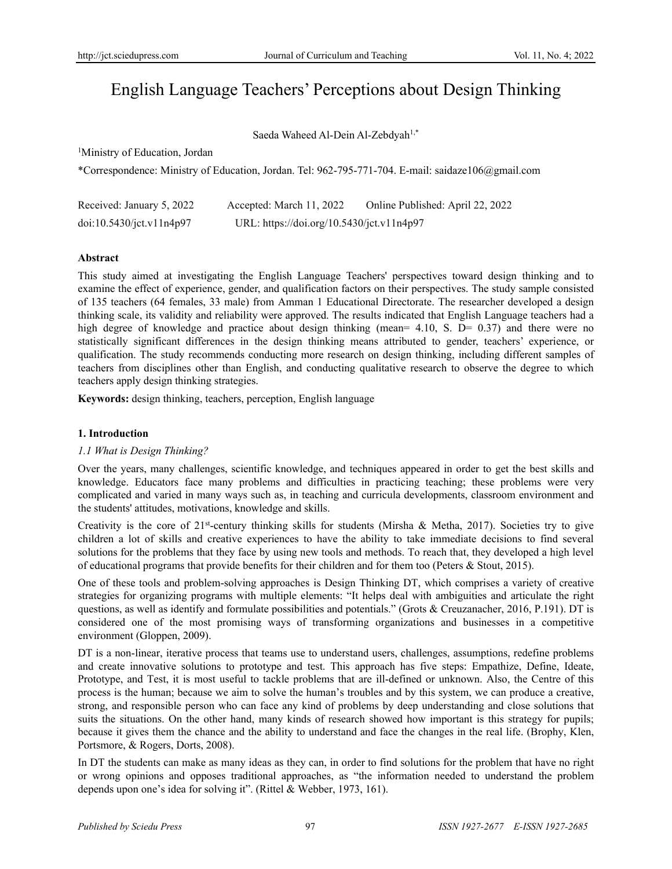# English Language Teachers' Perceptions about Design Thinking

Saeda Waheed Al-Dein Al-Zebdyah<sup>1,\*</sup>

1 Ministry of Education, Jordan

\*Correspondence: Ministry of Education, Jordan. Tel: 962-795-771-704. E-mail: saidaze106@gmail.com

| Received: January 5, 2022 | Accepted: March 11, 2022                  | Online Published: April 22, 2022 |
|---------------------------|-------------------------------------------|----------------------------------|
| doi:10.5430/jct.v11n4p97  | URL: https://doi.org/10.5430/jct.v11n4p97 |                                  |

# **Abstract**

This study aimed at investigating the English Language Teachers' perspectives toward design thinking and to examine the effect of experience, gender, and qualification factors on their perspectives. The study sample consisted of 135 teachers (64 females, 33 male) from Amman 1 Educational Directorate. The researcher developed a design thinking scale, its validity and reliability were approved. The results indicated that English Language teachers had a high degree of knowledge and practice about design thinking (mean= 4.10, S. D= 0.37) and there were no statistically significant differences in the design thinking means attributed to gender, teachers' experience, or qualification. The study recommends conducting more research on design thinking, including different samples of teachers from disciplines other than English, and conducting qualitative research to observe the degree to which teachers apply design thinking strategies.

**Keywords:** design thinking, teachers, perception, English language

# **1. Introduction**

# *1.1 What is Design Thinking?*

Over the years, many challenges, scientific knowledge, and techniques appeared in order to get the best skills and knowledge. Educators face many problems and difficulties in practicing teaching; these problems were very complicated and varied in many ways such as, in teaching and curricula developments, classroom environment and the students' attitudes, motivations, knowledge and skills.

Creativity is the core of  $21<sup>st</sup>$ -century thinking skills for students (Mirsha & Metha, 2017). Societies try to give children a lot of skills and creative experiences to have the ability to take immediate decisions to find several solutions for the problems that they face by using new tools and methods. To reach that, they developed a high level of educational programs that provide benefits for their children and for them too (Peters & Stout, 2015).

One of these tools and problem-solving approaches is Design Thinking DT, which comprises a variety of creative strategies for organizing programs with multiple elements: "It helps deal with ambiguities and articulate the right questions, as well as identify and formulate possibilities and potentials." (Grots & Creuzanacher, 2016, P.191). DT is considered one of the most promising ways of transforming organizations and businesses in a competitive environment (Gloppen, 2009).

DT is a non-linear, iterative process that teams use to understand users, challenges, assumptions, redefine problems and create innovative solutions to prototype and test. This approach has five steps: Empathize, Define, Ideate, Prototype, and Test, it is most useful to tackle problems that are ill-defined or unknown. Also, the Centre of this process is the human; because we aim to solve the human's troubles and by this system, we can produce a creative, strong, and responsible person who can face any kind of problems by deep understanding and close solutions that suits the situations. On the other hand, many kinds of research showed how important is this strategy for pupils; because it gives them the chance and the ability to understand and face the changes in the real life. (Brophy, Klen, Portsmore, & Rogers, Dorts, 2008).

In DT the students can make as many ideas as they can, in order to find solutions for the problem that have no right or wrong opinions and opposes traditional approaches, as "the information needed to understand the problem depends upon one's idea for solving it". (Rittel & Webber, 1973, 161).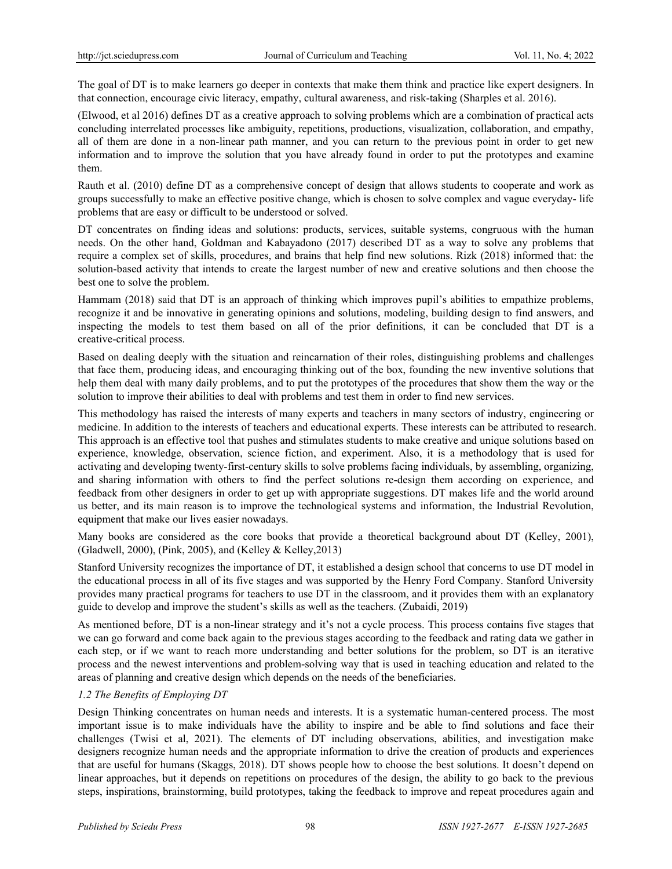The goal of DT is to make learners go deeper in contexts that make them think and practice like expert designers. In that connection, encourage civic literacy, empathy, cultural awareness, and risk-taking (Sharples et al. 2016).

(Elwood, et al 2016) defines DT as a creative approach to solving problems which are a combination of practical acts concluding interrelated processes like ambiguity, repetitions, productions, visualization, collaboration, and empathy, all of them are done in a non-linear path manner, and you can return to the previous point in order to get new information and to improve the solution that you have already found in order to put the prototypes and examine them.

Rauth et al. (2010) define DT as a comprehensive concept of design that allows students to cooperate and work as groups successfully to make an effective positive change, which is chosen to solve complex and vague everyday- life problems that are easy or difficult to be understood or solved.

DT concentrates on finding ideas and solutions: products, services, suitable systems, congruous with the human needs. On the other hand, Goldman and Kabayadono (2017) described DT as a way to solve any problems that require a complex set of skills, procedures, and brains that help find new solutions. Rizk (2018) informed that: the solution-based activity that intends to create the largest number of new and creative solutions and then choose the best one to solve the problem.

Hammam (2018) said that DT is an approach of thinking which improves pupil's abilities to empathize problems, recognize it and be innovative in generating opinions and solutions, modeling, building design to find answers, and inspecting the models to test them based on all of the prior definitions, it can be concluded that DT is a creative-critical process.

Based on dealing deeply with the situation and reincarnation of their roles, distinguishing problems and challenges that face them, producing ideas, and encouraging thinking out of the box, founding the new inventive solutions that help them deal with many daily problems, and to put the prototypes of the procedures that show them the way or the solution to improve their abilities to deal with problems and test them in order to find new services.

This methodology has raised the interests of many experts and teachers in many sectors of industry, engineering or medicine. In addition to the interests of teachers and educational experts. These interests can be attributed to research. This approach is an effective tool that pushes and stimulates students to make creative and unique solutions based on experience, knowledge, observation, science fiction, and experiment. Also, it is a methodology that is used for activating and developing twenty-first-century skills to solve problems facing individuals, by assembling, organizing, and sharing information with others to find the perfect solutions re-design them according on experience, and feedback from other designers in order to get up with appropriate suggestions. DT makes life and the world around us better, and its main reason is to improve the technological systems and information, the Industrial Revolution, equipment that make our lives easier nowadays.

Many books are considered as the core books that provide a theoretical background about DT (Kelley, 2001), (Gladwell, 2000), (Pink, 2005), and (Kelley & Kelley,2013)

Stanford University recognizes the importance of DT, it established a design school that concerns to use DT model in the educational process in all of its five stages and was supported by the Henry Ford Company. Stanford University provides many practical programs for teachers to use DT in the classroom, and it provides them with an explanatory guide to develop and improve the student's skills as well as the teachers. (Zubaidi, 2019)

As mentioned before, DT is a non-linear strategy and it's not a cycle process. This process contains five stages that we can go forward and come back again to the previous stages according to the feedback and rating data we gather in each step, or if we want to reach more understanding and better solutions for the problem, so DT is an iterative process and the newest interventions and problem-solving way that is used in teaching education and related to the areas of planning and creative design which depends on the needs of the beneficiaries.

# *1.2 The Benefits of Employing DT*

Design Thinking concentrates on human needs and interests. It is a systematic human-centered process. The most important issue is to make individuals have the ability to inspire and be able to find solutions and face their challenges (Twisi et al, 2021). The elements of DT including observations, abilities, and investigation make designers recognize human needs and the appropriate information to drive the creation of products and experiences that are useful for humans (Skaggs, 2018). DT shows people how to choose the best solutions. It doesn't depend on linear approaches, but it depends on repetitions on procedures of the design, the ability to go back to the previous steps, inspirations, brainstorming, build prototypes, taking the feedback to improve and repeat procedures again and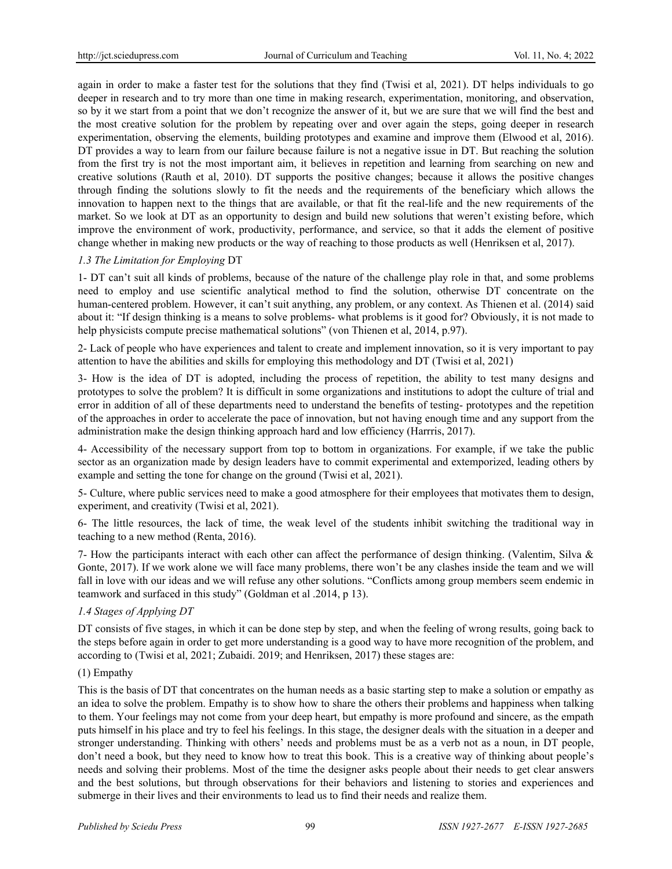again in order to make a faster test for the solutions that they find (Twisi et al, 2021). DT helps individuals to go deeper in research and to try more than one time in making research, experimentation, monitoring, and observation, so by it we start from a point that we don't recognize the answer of it, but we are sure that we will find the best and the most creative solution for the problem by repeating over and over again the steps, going deeper in research experimentation, observing the elements, building prototypes and examine and improve them (Elwood et al, 2016). DT provides a way to learn from our failure because failure is not a negative issue in DT. But reaching the solution from the first try is not the most important aim, it believes in repetition and learning from searching on new and creative solutions (Rauth et al, 2010). DT supports the positive changes; because it allows the positive changes through finding the solutions slowly to fit the needs and the requirements of the beneficiary which allows the innovation to happen next to the things that are available, or that fit the real-life and the new requirements of the market. So we look at DT as an opportunity to design and build new solutions that weren't existing before, which improve the environment of work, productivity, performance, and service, so that it adds the element of positive change whether in making new products or the way of reaching to those products as well (Henriksen et al, 2017).

## *1.3 The Limitation for Employing* DT

1- DT can't suit all kinds of problems, because of the nature of the challenge play role in that, and some problems need to employ and use scientific analytical method to find the solution, otherwise DT concentrate on the human-centered problem. However, it can't suit anything, any problem, or any context. As Thienen et al. (2014) said about it: "If design thinking is a means to solve problems- what problems is it good for? Obviously, it is not made to help physicists compute precise mathematical solutions" (von Thienen et al, 2014, p.97).

2- Lack of people who have experiences and talent to create and implement innovation, so it is very important to pay attention to have the abilities and skills for employing this methodology and DT (Twisi et al, 2021)

3- How is the idea of DT is adopted, including the process of repetition, the ability to test many designs and prototypes to solve the problem? It is difficult in some organizations and institutions to adopt the culture of trial and error in addition of all of these departments need to understand the benefits of testing- prototypes and the repetition of the approaches in order to accelerate the pace of innovation, but not having enough time and any support from the administration make the design thinking approach hard and low efficiency (Harrris, 2017).

4- Accessibility of the necessary support from top to bottom in organizations. For example, if we take the public sector as an organization made by design leaders have to commit experimental and extemporized, leading others by example and setting the tone for change on the ground (Twisi et al, 2021).

5- Culture, where public services need to make a good atmosphere for their employees that motivates them to design, experiment, and creativity (Twisi et al, 2021).

6- The little resources, the lack of time, the weak level of the students inhibit switching the traditional way in teaching to a new method (Renta, 2016).

7- How the participants interact with each other can affect the performance of design thinking. (Valentim, Silva & Gonte, 2017). If we work alone we will face many problems, there won't be any clashes inside the team and we will fall in love with our ideas and we will refuse any other solutions. "Conflicts among group members seem endemic in teamwork and surfaced in this study" (Goldman et al .2014, p 13).

## *1.4 Stages of Applying DT*

DT consists of five stages, in which it can be done step by step, and when the feeling of wrong results, going back to the steps before again in order to get more understanding is a good way to have more recognition of the problem, and according to (Twisi et al, 2021; Zubaidi. 2019; and Henriksen, 2017) these stages are:

## (1) Empathy

This is the basis of DT that concentrates on the human needs as a basic starting step to make a solution or empathy as an idea to solve the problem. Empathy is to show how to share the others their problems and happiness when talking to them. Your feelings may not come from your deep heart, but empathy is more profound and sincere, as the empath puts himself in his place and try to feel his feelings. In this stage, the designer deals with the situation in a deeper and stronger understanding. Thinking with others' needs and problems must be as a verb not as a noun, in DT people, don't need a book, but they need to know how to treat this book. This is a creative way of thinking about people's needs and solving their problems. Most of the time the designer asks people about their needs to get clear answers and the best solutions, but through observations for their behaviors and listening to stories and experiences and submerge in their lives and their environments to lead us to find their needs and realize them.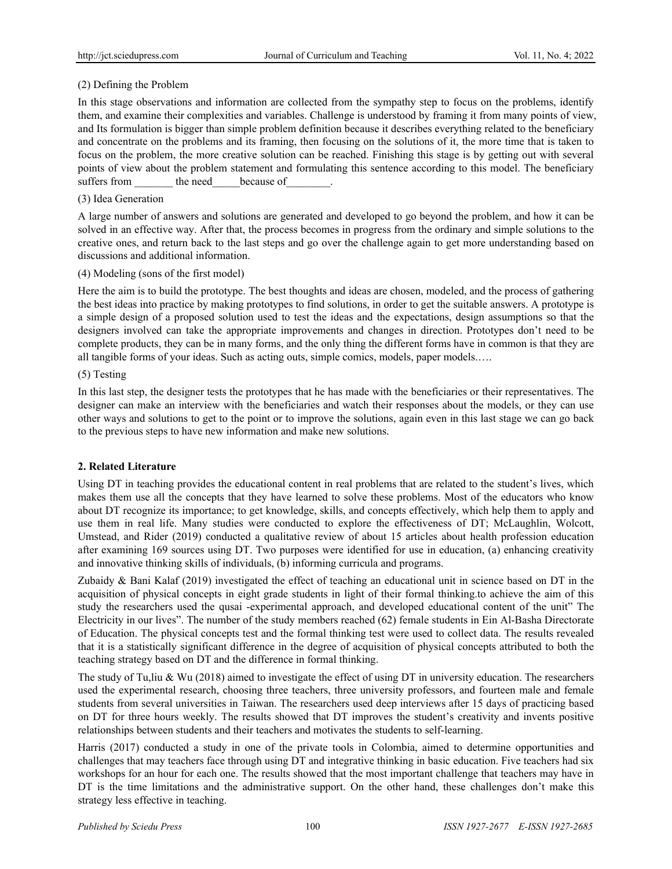# (2) Defining the Problem

In this stage observations and information are collected from the sympathy step to focus on the problems, identify them, and examine their complexities and variables. Challenge is understood by framing it from many points of view, and Its formulation is bigger than simple problem definition because it describes everything related to the beneficiary and concentrate on the problems and its framing, then focusing on the solutions of it, the more time that is taken to focus on the problem, the more creative solution can be reached. Finishing this stage is by getting out with several points of view about the problem statement and formulating this sentence according to this model. The beneficiary suffers from the need because of

# (3) Idea Generation

A large number of answers and solutions are generated and developed to go beyond the problem, and how it can be solved in an effective way. After that, the process becomes in progress from the ordinary and simple solutions to the creative ones, and return back to the last steps and go over the challenge again to get more understanding based on discussions and additional information.

# (4) Modeling (sons of the first model)

Here the aim is to build the prototype. The best thoughts and ideas are chosen, modeled, and the process of gathering the best ideas into practice by making prototypes to find solutions, in order to get the suitable answers. A prototype is a simple design of a proposed solution used to test the ideas and the expectations, design assumptions so that the designers involved can take the appropriate improvements and changes in direction. Prototypes don't need to be complete products, they can be in many forms, and the only thing the different forms have in common is that they are all tangible forms of your ideas. Such as acting outs, simple comics, models, paper models.….

# (5) Testing

In this last step, the designer tests the prototypes that he has made with the beneficiaries or their representatives. The designer can make an interview with the beneficiaries and watch their responses about the models, or they can use other ways and solutions to get to the point or to improve the solutions, again even in this last stage we can go back to the previous steps to have new information and make new solutions.

## **2. Related Literature**

Using DT in teaching provides the educational content in real problems that are related to the student's lives, which makes them use all the concepts that they have learned to solve these problems. Most of the educators who know about DT recognize its importance; to get knowledge, skills, and concepts effectively, which help them to apply and use them in real life. Many studies were conducted to explore the effectiveness of DT; McLaughlin, Wolcott, Umstead, and Rider (2019) conducted a qualitative review of about 15 articles about health profession education after examining 169 sources using DT. Two purposes were identified for use in education, (a) enhancing creativity and innovative thinking skills of individuals, (b) informing curricula and programs.

Zubaidy & Bani Kalaf (2019) investigated the effect of teaching an educational unit in science based on DT in the acquisition of physical concepts in eight grade students in light of their formal thinking.to achieve the aim of this study the researchers used the qusai -experimental approach, and developed educational content of the unit" The Electricity in our lives". The number of the study members reached (62) female students in Ein Al-Basha Directorate of Education. The physical concepts test and the formal thinking test were used to collect data. The results revealed that it is a statistically significant difference in the degree of acquisition of physical concepts attributed to both the teaching strategy based on DT and the difference in formal thinking.

The study of Tu,liu & Wu (2018) aimed to investigate the effect of using DT in university education. The researchers used the experimental research, choosing three teachers, three university professors, and fourteen male and female students from several universities in Taiwan. The researchers used deep interviews after 15 days of practicing based on DT for three hours weekly. The results showed that DT improves the student's creativity and invents positive relationships between students and their teachers and motivates the students to self-learning.

Harris (2017) conducted a study in one of the private tools in Colombia, aimed to determine opportunities and challenges that may teachers face through using DT and integrative thinking in basic education. Five teachers had six workshops for an hour for each one. The results showed that the most important challenge that teachers may have in DT is the time limitations and the administrative support. On the other hand, these challenges don't make this strategy less effective in teaching.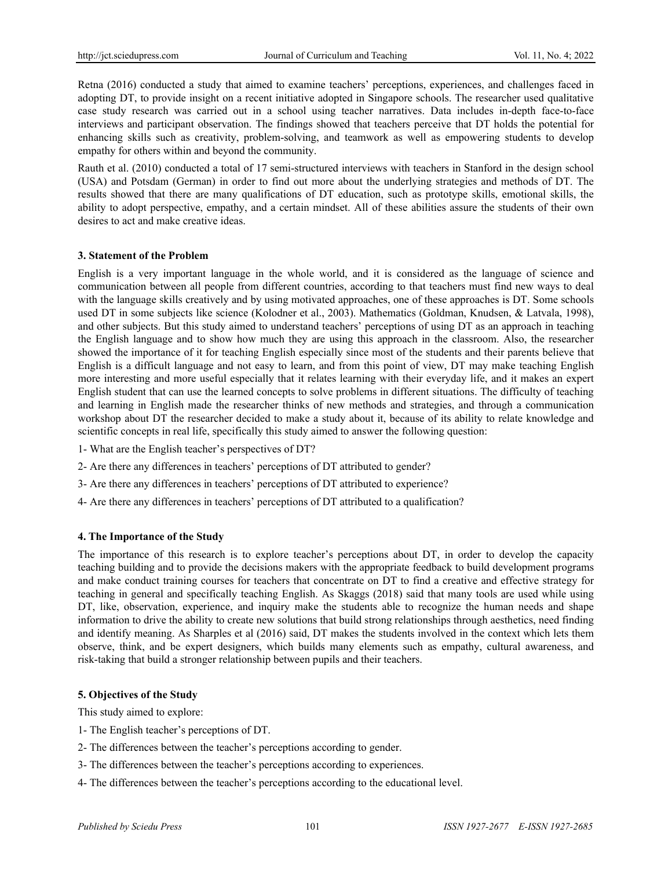Retna (2016) conducted a study that aimed to examine teachers' perceptions, experiences, and challenges faced in adopting DT, to provide insight on a recent initiative adopted in Singapore schools. The researcher used qualitative case study research was carried out in a school using teacher narratives. Data includes in-depth face-to-face interviews and participant observation. The findings showed that teachers perceive that DT holds the potential for enhancing skills such as creativity, problem-solving, and teamwork as well as empowering students to develop empathy for others within and beyond the community.

Rauth et al. (2010) conducted a total of 17 semi-structured interviews with teachers in Stanford in the design school (USA) and Potsdam (German) in order to find out more about the underlying strategies and methods of DT. The results showed that there are many qualifications of DT education, such as prototype skills, emotional skills, the ability to adopt perspective, empathy, and a certain mindset. All of these abilities assure the students of their own desires to act and make creative ideas.

#### **3. Statement of the Problem**

English is a very important language in the whole world, and it is considered as the language of science and communication between all people from different countries, according to that teachers must find new ways to deal with the language skills creatively and by using motivated approaches, one of these approaches is DT. Some schools used DT in some subjects like science (Kolodner et al., 2003). Mathematics (Goldman, Knudsen, & Latvala, 1998), and other subjects. But this study aimed to understand teachers' perceptions of using DT as an approach in teaching the English language and to show how much they are using this approach in the classroom. Also, the researcher showed the importance of it for teaching English especially since most of the students and their parents believe that English is a difficult language and not easy to learn, and from this point of view, DT may make teaching English more interesting and more useful especially that it relates learning with their everyday life, and it makes an expert English student that can use the learned concepts to solve problems in different situations. The difficulty of teaching and learning in English made the researcher thinks of new methods and strategies, and through a communication workshop about DT the researcher decided to make a study about it, because of its ability to relate knowledge and scientific concepts in real life, specifically this study aimed to answer the following question:

- 1- What are the English teacher's perspectives of DT?
- 2- Are there any differences in teachers' perceptions of DT attributed to gender?
- 3- Are there any differences in teachers' perceptions of DT attributed to experience?
- 4- Are there any differences in teachers' perceptions of DT attributed to a qualification?

#### **4. The Importance of the Study**

The importance of this research is to explore teacher's perceptions about DT, in order to develop the capacity teaching building and to provide the decisions makers with the appropriate feedback to build development programs and make conduct training courses for teachers that concentrate on DT to find a creative and effective strategy for teaching in general and specifically teaching English. As Skaggs (2018) said that many tools are used while using DT, like, observation, experience, and inquiry make the students able to recognize the human needs and shape information to drive the ability to create new solutions that build strong relationships through aesthetics, need finding and identify meaning. As Sharples et al (2016) said, DT makes the students involved in the context which lets them observe, think, and be expert designers, which builds many elements such as empathy, cultural awareness, and risk-taking that build a stronger relationship between pupils and their teachers.

#### **5. Objectives of the Study**

This study aimed to explore:

- 1- The English teacher's perceptions of DT.
- 2- The differences between the teacher's perceptions according to gender.
- 3- The differences between the teacher's perceptions according to experiences.
- 4- The differences between the teacher's perceptions according to the educational level.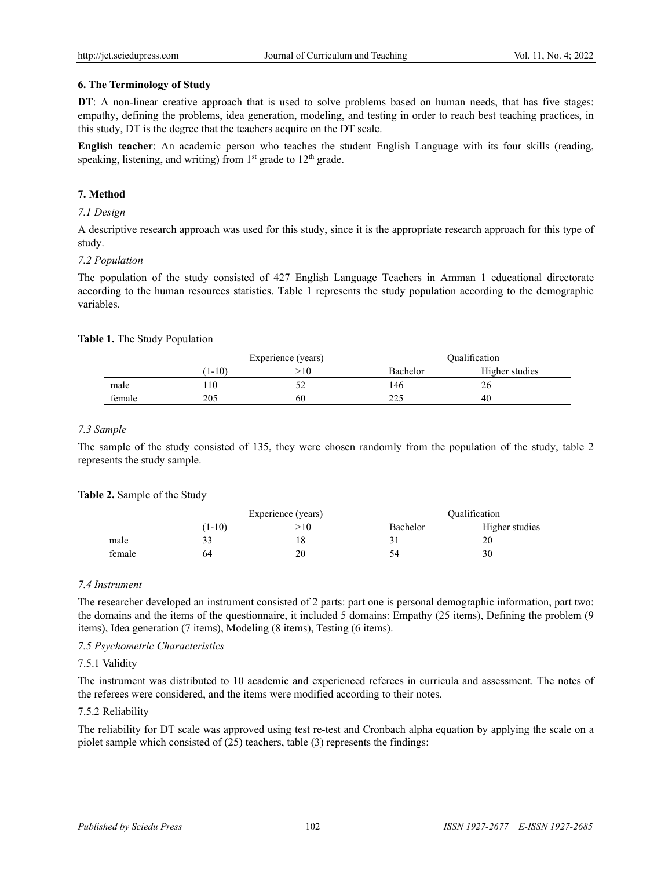# **6. The Terminology of Study**

**DT**: A non-linear creative approach that is used to solve problems based on human needs, that has five stages: empathy, defining the problems, idea generation, modeling, and testing in order to reach best teaching practices, in this study, DT is the degree that the teachers acquire on the DT scale.

**English teacher**: An academic person who teaches the student English Language with its four skills (reading, speaking, listening, and writing) from  $1<sup>st</sup>$  grade to  $12<sup>th</sup>$  grade.

## **7. Method**

### *7.1 Design*

A descriptive research approach was used for this study, since it is the appropriate research approach for this type of study.

### *7.2 Population*

The population of the study consisted of 427 English Language Teachers in Amman 1 educational directorate according to the human resources statistics. Table 1 represents the study population according to the demographic variables.

### **Table 1.** The Study Population

|        |        | Experience (years) | Oualification   |                |  |
|--------|--------|--------------------|-----------------|----------------|--|
|        | $1-10$ | 10٠                | <b>Bachelor</b> | Higher studies |  |
| male   | 10     |                    | 146             | 20             |  |
| female | 205    | 60                 | 22.5<br>22 J    | 40             |  |

## *7.3 Sample*

The sample of the study consisted of 135, they were chosen randomly from the population of the study, table 2 represents the study sample.

#### **Table 2.** Sample of the Study

|        |          | Experience (years) |          | <b>Dualification</b> |
|--------|----------|--------------------|----------|----------------------|
|        | $(1-10)$ | >10                | Bachelor | Higher studies       |
| male   |          | 18                 | ◡        | 20                   |
| female | 64       | 20                 |          | 30                   |

## *7.4 Instrument*

The researcher developed an instrument consisted of 2 parts: part one is personal demographic information, part two: the domains and the items of the questionnaire, it included 5 domains: Empathy (25 items), Defining the problem (9 items), Idea generation (7 items), Modeling (8 items), Testing (6 items).

## *7.5 Psychometric Characteristics*

## 7.5.1 Validity

The instrument was distributed to 10 academic and experienced referees in curricula and assessment. The notes of the referees were considered, and the items were modified according to their notes.

#### 7.5.2 Reliability

The reliability for DT scale was approved using test re-test and Cronbach alpha equation by applying the scale on a piolet sample which consisted of (25) teachers, table (3) represents the findings: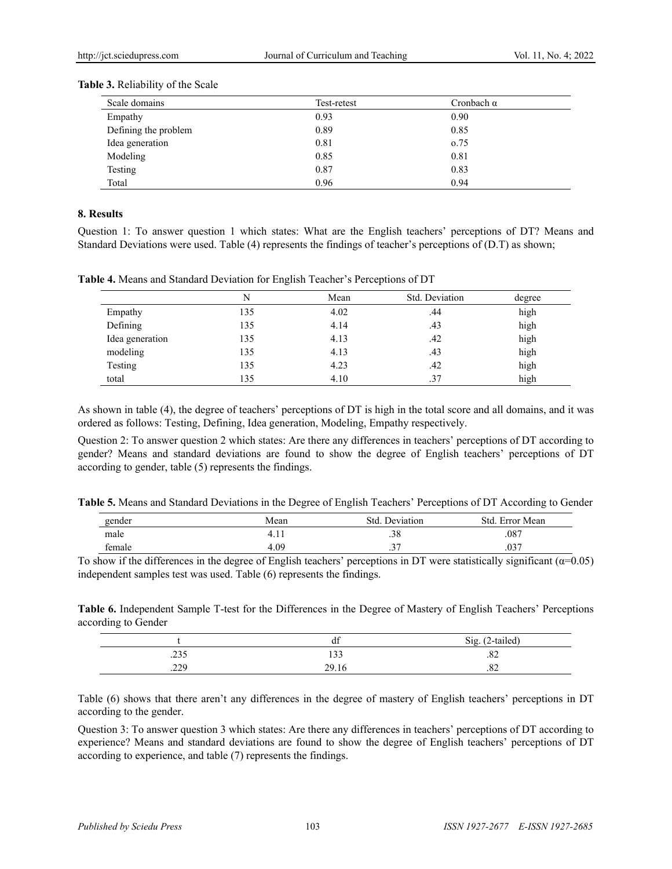| Scale domains        | Test-retest | Cronbach $\alpha$ |
|----------------------|-------------|-------------------|
| Empathy              | 0.93        | 0.90              |
| Defining the problem | 0.89        | 0.85              |
| Idea generation      | 0.81        | 0.75              |
| Modeling             | 0.85        | 0.81              |
| Testing              | 0.87        | 0.83              |
| Total                | 0.96        | 0.94              |

#### **Table 3.** Reliability of the Scale

#### **8. Results**

Question 1: To answer question 1 which states: What are the English teachers' perceptions of DT? Means and Standard Deviations were used. Table (4) represents the findings of teacher's perceptions of (D.T) as shown;

**Table 4.** Means and Standard Deviation for English Teacher's Perceptions of DT

|                 | N   | Mean | Std. Deviation | degree |
|-----------------|-----|------|----------------|--------|
| Empathy         | 135 | 4.02 | .44            | high   |
| Defining        | 135 | 4.14 | .43            | high   |
| Idea generation | 135 | 4.13 | .42            | high   |
| modeling        | 135 | 4.13 | .43            | high   |
| Testing         | 135 | 4.23 | .42            | high   |
| total           | 135 | 4.10 | .37            | high   |

As shown in table (4), the degree of teachers' perceptions of DT is high in the total score and all domains, and it was ordered as follows: Testing, Defining, Idea generation, Modeling, Empathy respectively.

Question 2: To answer question 2 which states: Are there any differences in teachers' perceptions of DT according to gender? Means and standard deviations are found to show the degree of English teachers' perceptions of DT according to gender, table (5) represents the findings.

| Table 5. Means and Standard Deviations in the Degree of English Teachers' Perceptions of DT According to Gender |  |  |
|-----------------------------------------------------------------------------------------------------------------|--|--|
|                                                                                                                 |  |  |

| gender | Mean<br>. . <b>.</b> | Std<br>Deviation | . Error Mean<br>Std. |
|--------|----------------------|------------------|----------------------|
| male   | T. 1 1               | າ ເ<br>ەد.       | .087                 |
| female | 4.09                 | ີ<br>$\cdot$     | $\sim$<br>.v.        |

To show if the differences in the degree of English teachers' perceptions in DT were statistically significant  $(\alpha=0.05)$ independent samples test was used. Table (6) represents the findings.

**Table 6.** Independent Sample T-test for the Differences in the Degree of Mastery of English Teachers' Perceptions according to Gender

|                                   | $\cdot$<br>αı | Sig. (2-tailed) |
|-----------------------------------|---------------|-----------------|
| $\cap$ $\cap$ $\subset$<br>ر ر ∡. | $\cdots$<br>. | o^<br>.02       |
| 220<br>رىيىد                      | 29.16         | $\Omega$<br>.04 |

Table (6) shows that there aren't any differences in the degree of mastery of English teachers' perceptions in DT according to the gender.

Question 3: To answer question 3 which states: Are there any differences in teachers' perceptions of DT according to experience? Means and standard deviations are found to show the degree of English teachers' perceptions of DT according to experience, and table (7) represents the findings.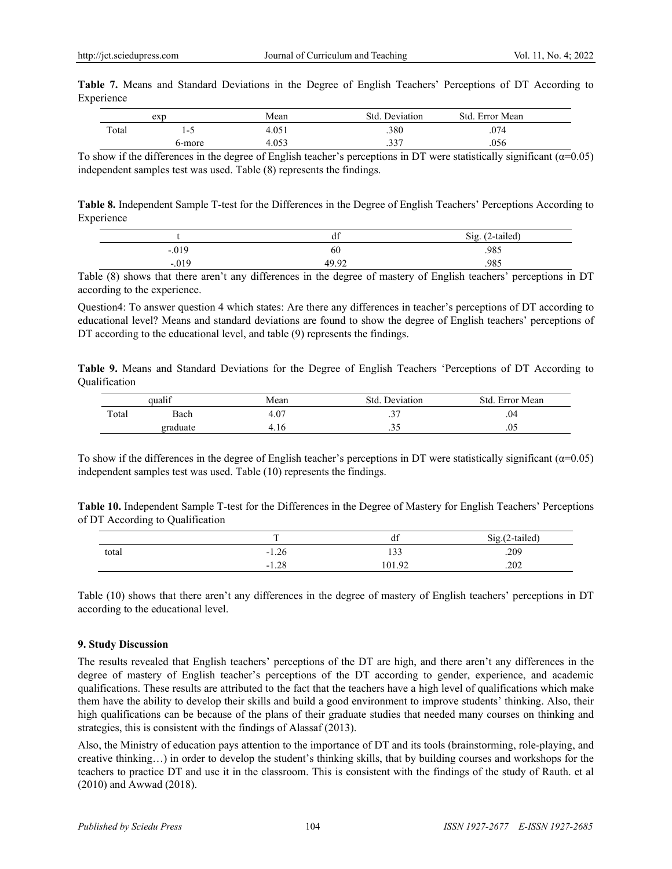|            |  |  |  |  |  | Table 7. Means and Standard Deviations in the Degree of English Teachers' Perceptions of DT According to |  |  |
|------------|--|--|--|--|--|----------------------------------------------------------------------------------------------------------|--|--|
| Experience |  |  |  |  |  |                                                                                                          |  |  |

|       | exp    | Mean  | Deviation<br>Std | . Error Mean<br>Std. |  |
|-------|--------|-------|------------------|----------------------|--|
| Total | ر- '   | 4.051 | .380             | .074                 |  |
|       | 6-more | 4.053 | っっっ<br>. د د.    | .056                 |  |

To show if the differences in the degree of English teacher's perceptions in DT were statistically significant (α=0.05) independent samples test was used. Table (8) represents the findings.

**Table 8.** Independent Sample T-test for the Differences in the Degree of English Teachers' Perceptions According to Experience

|         | $\sim$<br>đI | Sig. (2-tailed) |
|---------|--------------|-----------------|
| $-.019$ | 60           | .985            |
| $-.019$ | 49.92        | .985            |

Table (8) shows that there aren't any differences in the degree of mastery of English teachers' perceptions in DT according to the experience.

Question4: To answer question 4 which states: Are there any differences in teacher's perceptions of DT according to educational level? Means and standard deviations are found to show the degree of English teachers' perceptions of DT according to the educational level, and table (9) represents the findings.

**Table 9.** Means and Standard Deviations for the Degree of English Teachers 'Perceptions of DT According to Qualification

| qualif |                 | Mean | Deviation<br>Std. | Std. Error Mean |
|--------|-----------------|------|-------------------|-----------------|
| Total  | Bach            | 1.07 | $\gamma$<br>. ب   | .04             |
|        | <b>araduate</b> | 4.16 | ں ر.              | .v.,            |

To show if the differences in the degree of English teacher's perceptions in DT were statistically significant  $(\alpha=0.05)$ independent samples test was used. Table (10) represents the findings.

**Table 10.** Independent Sample T-test for the Differences in the Degree of Mastery for English Teachers' Perceptions of DT According to Qualification

|       | $\mathbf{r}$        | $\sim$<br>đI                      | Sig.(2-tailed) |
|-------|---------------------|-----------------------------------|----------------|
| total | $-1.26$             | $\overline{\phantom{a}}$<br>1 J J | .209           |
|       | $\Omega$<br>$-1.20$ | 101.92                            | .202           |

Table (10) shows that there aren't any differences in the degree of mastery of English teachers' perceptions in DT according to the educational level.

#### **9. Study Discussion**

The results revealed that English teachers' perceptions of the DT are high, and there aren't any differences in the degree of mastery of English teacher's perceptions of the DT according to gender, experience, and academic qualifications. These results are attributed to the fact that the teachers have a high level of qualifications which make them have the ability to develop their skills and build a good environment to improve students' thinking. Also, their high qualifications can be because of the plans of their graduate studies that needed many courses on thinking and strategies, this is consistent with the findings of Alassaf (2013).

Also, the Ministry of education pays attention to the importance of DT and its tools (brainstorming, role-playing, and creative thinking…) in order to develop the student's thinking skills, that by building courses and workshops for the teachers to practice DT and use it in the classroom. This is consistent with the findings of the study of Rauth. et al (2010) and Awwad (2018).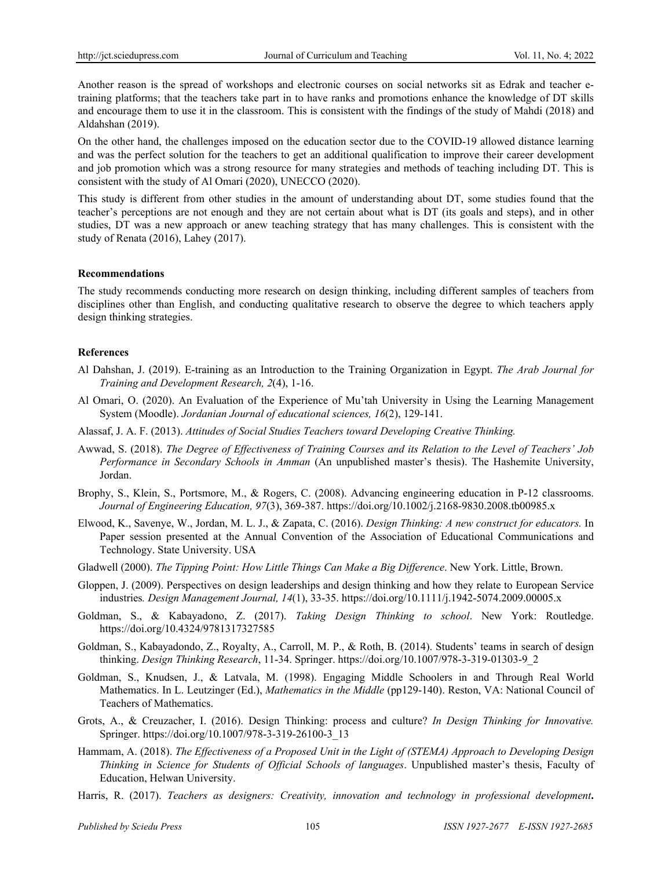Another reason is the spread of workshops and electronic courses on social networks sit as Edrak and teacher etraining platforms; that the teachers take part in to have ranks and promotions enhance the knowledge of DT skills and encourage them to use it in the classroom. This is consistent with the findings of the study of Mahdi (2018) and Aldahshan (2019).

On the other hand, the challenges imposed on the education sector due to the COVID-19 allowed distance learning and was the perfect solution for the teachers to get an additional qualification to improve their career development and job promotion which was a strong resource for many strategies and methods of teaching including DT. This is consistent with the study of Al Omari (2020), UNECCO (2020).

This study is different from other studies in the amount of understanding about DT, some studies found that the teacher's perceptions are not enough and they are not certain about what is DT (its goals and steps), and in other studies, DT was a new approach or anew teaching strategy that has many challenges. This is consistent with the study of Renata (2016), Lahey (2017).

#### **Recommendations**

The study recommends conducting more research on design thinking, including different samples of teachers from disciplines other than English, and conducting qualitative research to observe the degree to which teachers apply design thinking strategies.

#### **References**

- Al Dahshan, J. (2019). E-training as an Introduction to the Training Organization in Egypt. *The Arab Journal for Training and Development Research, 2*(4), 1-16.
- Al Omari, O. (2020). An Evaluation of the Experience of Mu'tah University in Using the Learning Management System (Moodle). *Jordanian Journal of educational sciences, 16*(2), 129-141.
- Alassaf, J. A. F. (2013). *Attitudes of Social Studies Teachers toward Developing Creative Thinking.*
- Awwad, S. (2018). *The Degree of Effectiveness of Training Courses and its Relation to the Level of Teachers' Job Performance in Secondary Schools in Amman* (An unpublished master's thesis). The Hashemite University, Jordan.
- Brophy, S., Klein, S., Portsmore, M., & Rogers, C. (2008). Advancing engineering education in P-12 classrooms. *Journal of Engineering Education, 97*(3), 369-387. https://doi.org/10.1002/j.2168-9830.2008.tb00985.x
- Elwood, K., Savenye, W., Jordan, M. L. J., & Zapata, C. (2016). *Design Thinking: A new construct for educators.* In Paper session presented at the Annual Convention of the Association of Educational Communications and Technology. State University. USA
- Gladwell (2000). *The Tipping Point: How Little Things Can Make a Big Difference*. New York. Little, Brown.
- Gloppen, J. (2009). Perspectives on design leaderships and design thinking and how they relate to European Service industries*. Design Management Journal, 14*(1), 33-35. https://doi.org/10.1111/j.1942-5074.2009.00005.x
- Goldman, S., & Kabayadono, Z. (2017). *Taking Design Thinking to school*. New York: Routledge. https://doi.org/10.4324/9781317327585
- Goldman, S., Kabayadondo, Z., Royalty, A., Carroll, M. P., & Roth, B. (2014). Students' teams in search of design thinking. *Design Thinking Research*, 11-34. Springer. https://doi.org/10.1007/978-3-319-01303-9\_2
- Goldman, S., Knudsen, J., & Latvala, M. (1998). Engaging Middle Schoolers in and Through Real World Mathematics. In L. Leutzinger (Ed.), *Mathematics in the Middle* (pp129-140). Reston, VA: National Council of Teachers of Mathematics.
- Grots, A., & Creuzacher, I. (2016). Design Thinking: process and culture? *In Design Thinking for Innovative.*  Springer. https://doi.org/10.1007/978-3-319-26100-3\_13
- Hammam, A. (2018). *The Effectiveness of a Proposed Unit in the Light of (STEMA) Approach to Developing Design Thinking in Science for Students of Official Schools of languages*. Unpublished master's thesis, Faculty of Education, Helwan University.
- Harris, R. (2017). *Teachers as designers: Creativity, innovation and technology in professional development***.**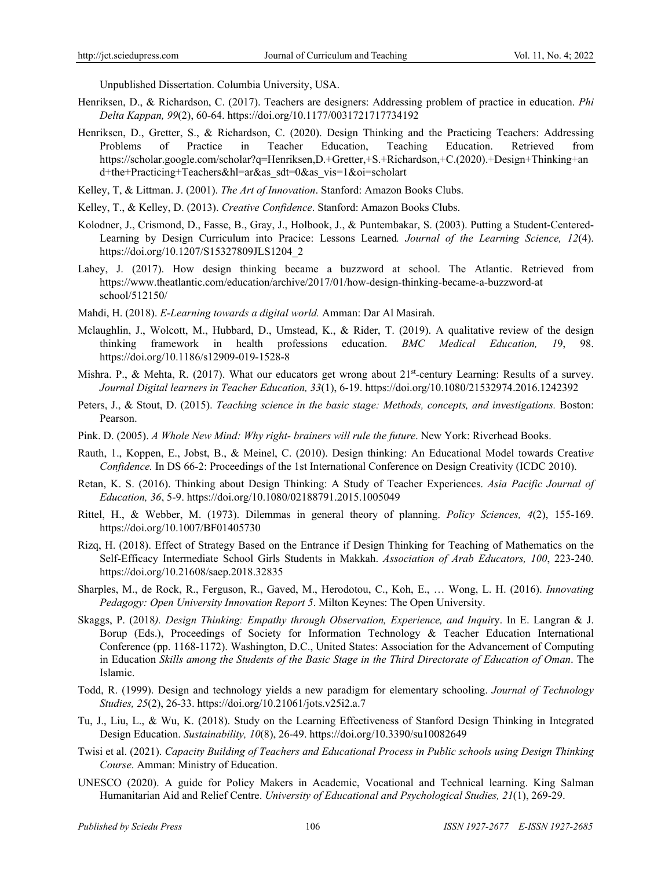Unpublished Dissertation. Columbia University, USA.

- Henriksen, D., & Richardson, C. (2017). Teachers are designers: Addressing problem of practice in education. *Phi Delta Kappan, 99*(2), 60-64. https://doi.org/10.1177/0031721717734192
- Henriksen, D., Gretter, S., & Richardson, C. (2020). Design Thinking and the Practicing Teachers: Addressing Problems of Practice in Teacher Education, Teaching Education. Retrieved from https://scholar.google.com/scholar?q=Henriksen,D.+Gretter,+S.+Richardson,+C.(2020).+Design+Thinking+an d+the+Practicing+Teachers&hl=ar&as\_sdt=0&as\_vis=1&oi=scholart
- Kelley, T, & Littman. J. (2001). *The Art of Innovation*. Stanford: Amazon Books Clubs.
- Kelley, T., & Kelley, D. (2013). *Creative Confidence*. Stanford: Amazon Books Clubs.
- Kolodner, J., Crismond, D., Fasse, B., Gray, J., Holbook, J., & Puntembakar, S. (2003). Putting a Student-Centered-Learning by Design Curriculum into Pracice: Lessons Learned*. Journal of the Learning Science, 12*(4). https://doi.org/10.1207/S15327809JLS1204\_2
- Lahey, J. (2017). How design thinking became a buzzword at school. The Atlantic. Retrieved from https://www.theatlantic.com/education/archive/2017/01/how-design-thinking-became-a-buzzword-at school/512150/
- Mahdi, H. (2018). *E-Learning towards a digital world.* Amman: Dar Al Masirah.
- Mclaughlin, J., Wolcott, M., Hubbard, D., Umstead, K., & Rider, T. (2019). A qualitative review of the design thinking framework in health professions education. *BMC Medical Education, 1*9, 98. https://doi.org/10.1186/s12909-019-1528-8
- Mishra. P., & Mehta, R. (2017). What our educators get wrong about 21<sup>st</sup>-century Learning: Results of a survey. *Journal Digital learners in Teacher Education, 33*(1), 6-19. https://doi.org/10.1080/21532974.2016.1242392
- Peters, J., & Stout, D. (2015). *Teaching science in the basic stage: Methods, concepts, and investigations.* Boston: Pearson.
- Pink. D. (2005). *A Whole New Mind: Why right- brainers will rule the future*. New York: Riverhead Books.
- Rauth, 1., Koppen, E., Jobst, B., & Meinel, C. (2010). Design thinking: An Educational Model towards Creati*ve Confidence.* In DS 66-2: Proceedings of the 1st International Conference on Design Creativity (ICDC 2010).
- Retan, K. S. (2016). Thinking about Design Thinking: A Study of Teacher Experiences. *Asia Pacific Journal of Education, 36*, 5-9. https://doi.org/10.1080/02188791.2015.1005049
- Rittel, H., & Webber, M. (1973). Dilemmas in general theory of planning. *Policy Sciences, 4*(2), 155-169. https://doi.org/10.1007/BF01405730
- Rizq, H. (2018). Effect of Strategy Based on the Entrance if Design Thinking for Teaching of Mathematics on the Self-Efficacy Intermediate School Girls Students in Makkah. *Association of Arab Educators, 100*, 223-240 . https://doi.org/10.21608/saep.2018.32835
- Sharples, M., de Rock, R., Ferguson, R., Gaved, M., Herodotou, C., Koh, E., … Wong, L. H. (2016). *Innovating Pedagogy: Open University Innovation Report 5*. Milton Keynes: The Open University.
- Skaggs, P. (2018*). Design Thinking: Empathy through Observation, Experience, and Inqui*ry. In E. Langran & J. Borup (Eds.), Proceedings of Society for Information Technology & Teacher Education International Conference (pp. 1168-1172). Washington, D.C., United States: Association for the Advancement of Computing in Education *Skills among the Students of the Basic Stage in the Third Directorate of Education of Oman*. The Islamic.
- Todd, R. (1999). Design and technology yields a new paradigm for elementary schooling. *Journal of Technology Studies, 25*(2), 26-33. https://doi.org/10.21061/jots.v25i2.a.7
- Tu, J., Liu, L., & Wu, K. (2018). Study on the Learning Effectiveness of Stanford Design Thinking in Integrated Design Education. *Sustainability, 10*(8), 26-49. https://doi.org/10.3390/su10082649
- Twisi et al. (2021). *Capacity Building of Teachers and Educational Process in Public schools using Design Thinking Course*. Amman: Ministry of Education.
- UNESCO (2020). A guide for Policy Makers in Academic, Vocational and Technical learning. King Salman Humanitarian Aid and Relief Centre. *University of Educational and Psychological Studies, 21*(1), 269-29.